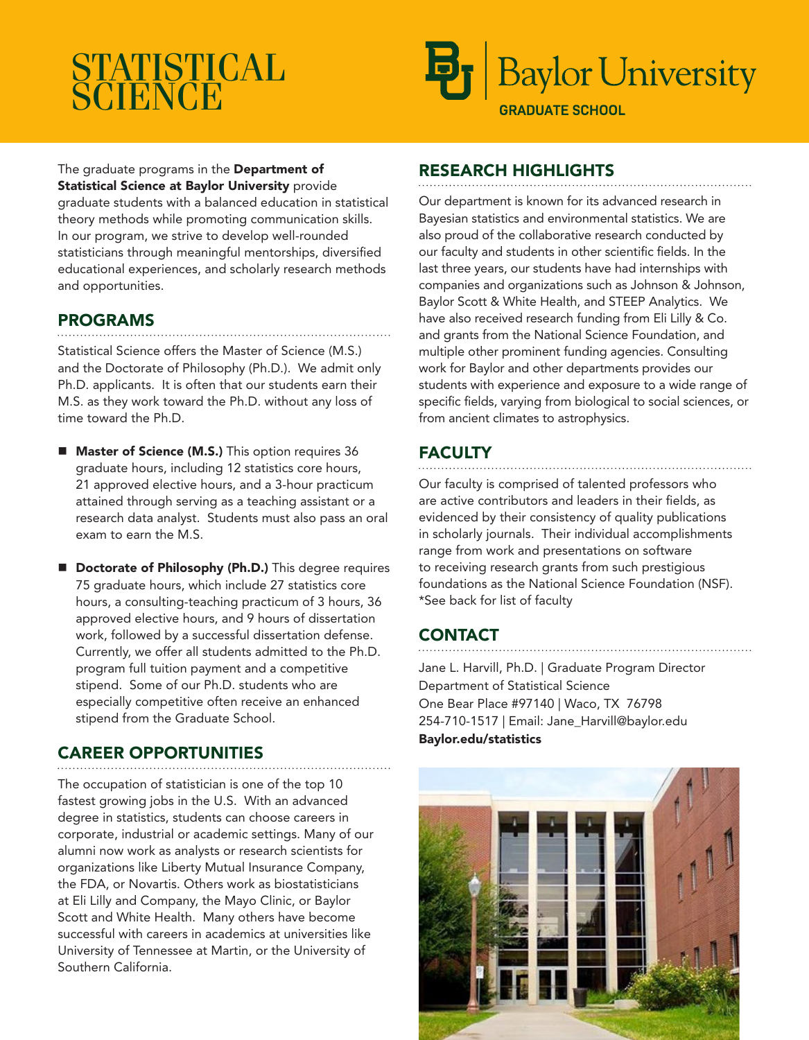# **STATISTICAL ŠČIËNCĒ**



**GRADUATE SCHOOL** 

## The graduate programs in the Department of **Statistical Science at Baylor University provide**

graduate students with a balanced education in statistical theory methods while promoting communication skills. In our program, we strive to develop well-rounded statisticians through meaningful mentorships, diversified educational experiences, and scholarly research methods and opportunities.

## PROGRAMS

Statistical Science offers the Master of Science (M.S.) and the Doctorate of Philosophy (Ph.D.). We admit only Ph.D. applicants. It is often that our students earn their M.S. as they work toward the Ph.D. without any loss of time toward the Ph.D.

- **Master of Science (M.S.)** This option requires 36 graduate hours, including 12 statistics core hours, 21 approved elective hours, and a 3-hour practicum attained through serving as a teaching assistant or a research data analyst. Students must also pass an oral exam to earn the M.S.
- Doctorate of Philosophy (Ph.D.) This degree requires 75 graduate hours, which include 27 statistics core hours, a consulting-teaching practicum of 3 hours, 36 approved elective hours, and 9 hours of dissertation work, followed by a successful dissertation defense. Currently, we offer all students admitted to the Ph.D. program full tuition payment and a competitive stipend. Some of our Ph.D. students who are especially competitive often receive an enhanced stipend from the Graduate School.

## CAREER OPPORTUNITIES

The occupation of statistician is one of the top 10 fastest growing jobs in the U.S. With an advanced degree in statistics, students can choose careers in corporate, industrial or academic settings. Many of our alumni now work as analysts or research scientists for organizations like Liberty Mutual Insurance Company, the FDA, or Novartis. Others work as biostatisticians at Eli Lilly and Company, the Mayo Clinic, or Baylor Scott and White Health. Many others have become successful with careers in academics at universities like University of Tennessee at Martin, or the University of Southern California.

## RESEARCH HIGHLIGHTS

Our department is known for its advanced research in Bayesian statistics and environmental statistics. We are also proud of the collaborative research conducted by our faculty and students in other scientific fields. In the last three years, our students have had internships with companies and organizations such as Johnson & Johnson, Baylor Scott & White Health, and STEEP Analytics. We have also received research funding from Eli Lilly & Co. and grants from the National Science Foundation, and multiple other prominent funding agencies. Consulting work for Baylor and other departments provides our students with experience and exposure to a wide range of specific fields, varying from biological to social sciences, or from ancient climates to astrophysics.

## **FACULTY**

Our faculty is comprised of talented professors who are active contributors and leaders in their fields, as evidenced by their consistency of quality publications in scholarly journals. Their individual accomplishments range from work and presentations on software to receiving research grants from such prestigious foundations as the National Science Foundation (NSF). \*See back for list of faculty

## **CONTACT**

Jane L. Harvill, Ph.D. | Graduate Program Director Department of Statistical Science One Bear Place #97140 | Waco, TX 76798 254-710-1517 | Email: Jane\_Harvill@baylor.edu Baylor.edu/statistics